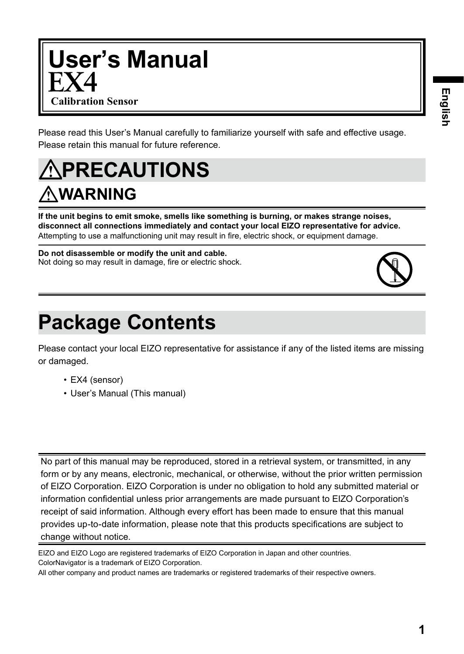**1**

# **User's Manual Calibration Sensor**

Please read this User's Manual carefully to familiarize yourself with safe and effective usage. Please retain this manual for future reference.

## **PRECAUTIONS WARNING**

**If the unit begins to emit smoke, smells like something is burning, or makes strange noises, disconnect all connections immediately and contact your local EIZO representative for advice.** Attempting to use a malfunctioning unit may result in fire, electric shock, or equipment damage.

#### **Do not disassemble or modify the unit and cable.** Not doing so may result in damage, fire or electric shock.

## **Package Contents**

Please contact your local EIZO representative for assistance if any of the listed items are missing or damaged.

- EX4 (sensor)
- User's Manual (This manual)

No part of this manual may be reproduced, stored in a retrieval system, or transmitted, in any form or by any means, electronic, mechanical, or otherwise, without the prior written permission of EIZO Corporation. EIZO Corporation is under no obligation to hold any submitted material or information confidential unless prior arrangements are made pursuant to EIZO Corporation's receipt of said information. Although every effort has been made to ensure that this manual provides up-to-date information, please note that this products specifications are subject to change without notice.

EIZO and EIZO Logo are registered trademarks of EIZO Corporation in Japan and other countries. ColorNavigator is a trademark of EIZO Corporation.

All other company and product names are trademarks or registered trademarks of their respective owners.

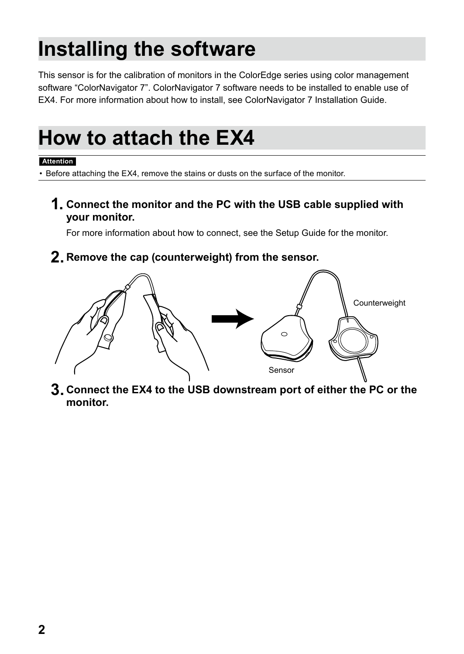## **Installing the software**

This sensor is for the calibration of monitors in the ColorEdge series using color management software "ColorNavigator 7". ColorNavigator 7 software needs to be installed to enable use of EX4. For more information about how to install, see ColorNavigator 7 Installation Guide.

## **How to attach the EX4**

#### **Attention**

Before attaching the EX4, remove the stains or dusts on the surface of the monitor.

**1. Connect the monitor and the PC with the USB cable supplied with your monitor.**

For more information about how to connect, see the Setup Guide for the monitor.

#### **2. Remove the cap (counterweight) from the sensor.**



**3. Connect the EX4 to the USB downstream port of either the PC or the monitor.**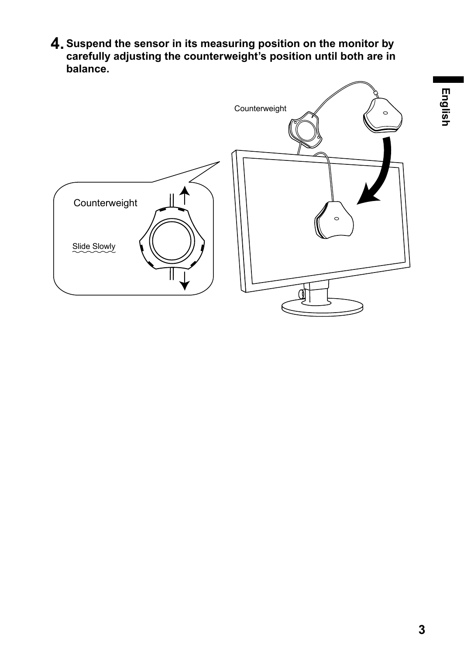**4.Suspend the sensor in its measuring position on the monitor by carefully adjusting the counterweight's position until both are in balance.**

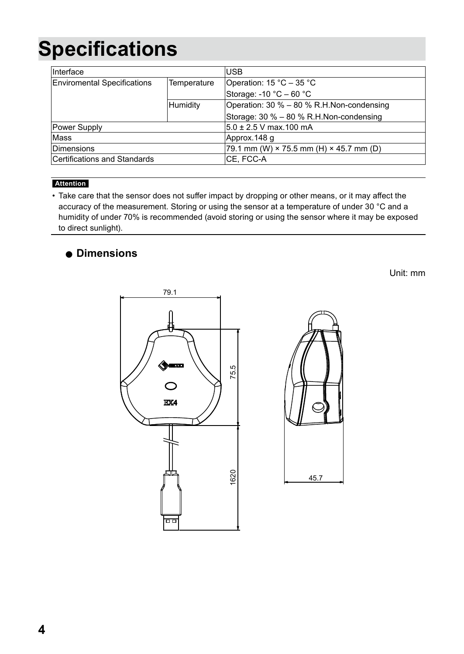## **Specifications**

| Interface                          |             | <b>USB</b>                                            |
|------------------------------------|-------------|-------------------------------------------------------|
| <b>Enviromental Specifications</b> | Temperature | Operation: 15 °C – 35 °C                              |
|                                    |             | Storage: -10 $^{\circ}$ C – 60 $^{\circ}$ C           |
|                                    | Humidity    | Operation: 30 % - 80 % R.H.Non-condensing             |
|                                    |             | Storage: 30 % - 80 % R.H.Non-condensing               |
| Power Supply                       |             | 5.0 ± 2.5 V max.100 mA                                |
| Mass                               |             | Approx.148 q                                          |
| <b>Dimensions</b>                  |             | 79.1 mm (W) $\times$ 75.5 mm (H) $\times$ 45.7 mm (D) |
| Certifications and Standards       |             | CE, FCC-A                                             |

#### **Attention**

• Take care that the sensor does not suffer impact by dropping or other means, or it may affect the accuracy of the measurement. Storing or using the sensor at a temperature of under 30 °C and a humidity of under 70% is recommended (avoid storing or using the sensor where it may be exposed to direct sunlight).

#### **Dimensions**

Unit: mm



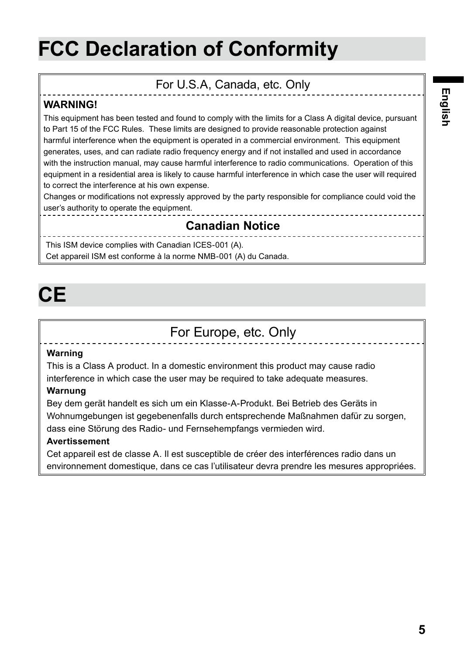## **FCC Declaration of Conformity**

### For U.S.A, Canada, etc. Only

#### **WARNING!**

This equipment has been tested and found to comply with the limits for a Class A digital device, pursuant to Part 15 of the FCC Rules. These limits are designed to provide reasonable protection against harmful interference when the equipment is operated in a commercial environment. This equipment generates, uses, and can radiate radio frequency energy and if not installed and used in accordance with the instruction manual, may cause harmful interference to radio communications. Operation of this equipment in a residential area is likely to cause harmful interference in which case the user will required to correct the interference at his own expense.

Changes or modifications not expressly approved by the party responsible for compliance could void the user's authority to operate the equipment.

#### **Canadian Notice**

This ISM device complies with Canadian ICES-001 (A). Cet appareil ISM est conforme à la norme NMB-001 (A) du Canada.

## **CE**

## For Europe, etc. Only

#### **Warning**

This is a Class A product. In a domestic environment this product may cause radio interference in which case the user may be required to take adequate measures.

#### **Warnung**

Bey dem gerät handelt es sich um ein Klasse-A-Produkt. Bei Betrieb des Geräts in Wohnumgebungen ist gegebenenfalls durch entsprechende Maßnahmen dafür zu sorgen, dass eine Störung des Radio- und Fernsehempfangs vermieden wird.

#### **Avertissement**

Cet appareil est de classe A. Il est susceptible de créer des interférences radio dans un environnement domestique, dans ce cas l'utilisateur devra prendre les mesures appropriées.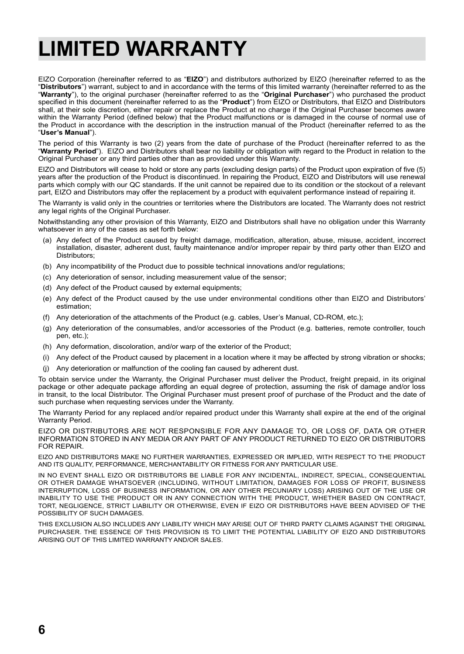## **LIMITED WARRANTY**

EIZO Corporation (hereinafter referred to as "**EIZO**") and distributors authorized by EIZO (hereinafter referred to as the "**Distributors**") warrant, subject to and in accordance with the terms of this limited warranty (hereinafter referred to as the "**Warranty**"), to the original purchaser (hereinafter referred to as the "**Original Purchaser**") who purchased the product specified in this document (hereinafter referred to as the "**Product**") from EIZO or Distributors, that EIZO and Distributors shall, at their sole discretion, either repair or replace the Product at no charge if the Original Purchaser becomes aware within the Warranty Period (defined below) that the Product malfunctions or is damaged in the course of normal use of the Product in accordance with the description in the instruction manual of the Product (hereinafter referred to as the "**User's Manual**").

The period of this Warranty is two (2) years from the date of purchase of the Product (hereinafter referred to as the "**Warranty Period**"). EIZO and Distributors shall bear no liability or obligation with regard to the Product in relation to the Original Purchaser or any third parties other than as provided under this Warranty.

EIZO and Distributors will cease to hold or store any parts (excluding design parts) of the Product upon expiration of five (5) years after the production of the Product is discontinued. In repairing the Product, EIZO and Distributors will use renewal parts which comply with our QC standards. If the unit cannot be repaired due to its condition or the stockout of a relevant part, EIZO and Distributors may offer the replacement by a product with equivalent performance instead of repairing it.

The Warranty is valid only in the countries or territories where the Distributors are located. The Warranty does not restrict any legal rights of the Original Purchaser.

Notwithstanding any other provision of this Warranty, EIZO and Distributors shall have no obligation under this Warranty whatsoever in any of the cases as set forth below:

- (a) Any defect of the Product caused by freight damage, modification, alteration, abuse, misuse, accident, incorrect installation, disaster, adherent dust, faulty maintenance and/or improper repair by third party other than EIZO and Distributors;
- (b) Any incompatibility of the Product due to possible technical innovations and/or regulations;
- (c) Any deterioration of sensor, including measurement value of the sensor;
- (d) Any defect of the Product caused by external equipments;
- (e) Any defect of the Product caused by the use under environmental conditions other than EIZO and Distributors' estimation;
- (f) Any deterioration of the attachments of the Product (e.g. cables, User's Manual, CD-ROM, etc.);
- (g) Any deterioration of the consumables, and/or accessories of the Product (e.g. batteries, remote controller, touch pen, etc.);
- (h) Any deformation, discoloration, and/or warp of the exterior of the Product;
- (i) Any defect of the Product caused by placement in a location where it may be affected by strong vibration or shocks;
- (j) Any deterioration or malfunction of the cooling fan caused by adherent dust.

To obtain service under the Warranty, the Original Purchaser must deliver the Product, freight prepaid, in its original package or other adequate package affording an equal degree of protection, assuming the risk of damage and/or loss in transit, to the local Distributor. The Original Purchaser must present proof of purchase of the Product and the date of such purchase when requesting services under the Warranty.

The Warranty Period for any replaced and/or repaired product under this Warranty shall expire at the end of the original Warranty Period.

EIZO OR DISTRIBUTORS ARE NOT RESPONSIBLE FOR ANY DAMAGE TO, OR LOSS OF, DATA OR OTHER INFORMATION STORED IN ANY MEDIA OR ANY PART OF ANY PRODUCT RETURNED TO EIZO OR DISTRIBUTORS FOR REPAIR.

EIZO AND DISTRIBUTORS MAKE NO FURTHER WARRANTIES, EXPRESSED OR IMPLIED, WITH RESPECT TO THE PRODUCT AND ITS QUALITY, PERFORMANCE, MERCHANTABILITY OR FITNESS FOR ANY PARTICULAR USE.

IN NO EVENT SHALL EIZO OR DISTRIBUTORS BE LIABLE FOR ANY INCIDENTAL, INDIRECT, SPECIAL, CONSEQUENTIAL OR OTHER DAMAGE WHATSOEVER (INCLUDING, WITHOUT LIMITATION, DAMAGES FOR LOSS OF PROFIT, BUSINESS INTERRUPTION, LOSS OF BUSINESS INFORMATION, OR ANY OTHER PECUNIARY LOSS) ARISING OUT OF THE USE OR INABILITY TO USE THE PRODUCT OR IN ANY CONNECTION WITH THE PRODUCT, WHETHER BASED ON CONTRACT, TORT, NEGLIGENCE, STRICT LIABILITY OR OTHERWISE, EVEN IF EIZO OR DISTRIBUTORS HAVE BEEN ADVISED OF THE POSSIBILITY OF SUCH DAMAGES.

THIS EXCLUSION ALSO INCLUDES ANY LIABILITY WHICH MAY ARISE OUT OF THIRD PARTY CLAIMS AGAINST THE ORIGINAL PURCHASER. THE ESSENCE OF THIS PROVISION IS TO LIMIT THE POTENTIAL LIABILITY OF EIZO AND DISTRIBUTORS ARISING OUT OF THIS LIMITED WARRANTY AND/OR SALES.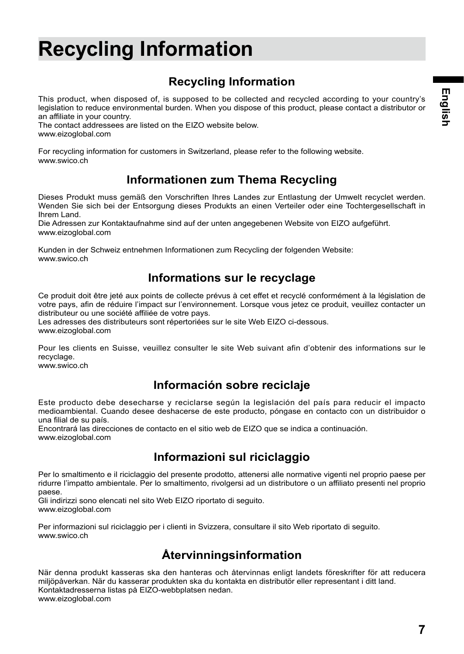## **Recycling Information**

## **Recycling Information**

This product, when disposed of, is supposed to be collected and recycled according to your country's legislation to reduce environmental burden. When you dispose of this product, please contact a distributor or an affiliate in your country.

The contact addressees are listed on the EIZO website below. www.eizoglobal.com

For recycling information for customers in Switzerland, please refer to the following website. www.swico.ch

### **Informationen zum Thema Recycling**

Dieses Produkt muss gemäß den Vorschriften Ihres Landes zur Entlastung der Umwelt recyclet werden. Wenden Sie sich bei der Entsorgung dieses Produkts an einen Verteiler oder eine Tochtergesellschaft in Ihrem Land.

Die Adressen zur Kontaktaufnahme sind auf der unten angegebenen Website von EIZO aufgeführt. www.eizoglobal.com

Kunden in der Schweiz entnehmen Informationen zum Recycling der folgenden Website: www.swico.ch

#### **Informations sur le recyclage**

Ce produit doit être jeté aux points de collecte prévus à cet effet et recyclé conformément à la législation de votre pays, afin de réduire l'impact sur l'environnement. Lorsque vous jetez ce produit, veuillez contacter un distributeur ou une société affiliée de votre pays.

Les adresses des distributeurs sont répertoriées sur le site Web EIZO ci-dessous. www.eizoglobal.com

Pour les clients en Suisse, veuillez consulter le site Web suivant afin d'obtenir des informations sur le recyclage.

www.swico.ch

#### **Información sobre reciclaje**

Este producto debe desecharse y reciclarse según la legislación del país para reducir el impacto medioambiental. Cuando desee deshacerse de este producto, póngase en contacto con un distribuidor o una filial de su país.

Encontrará las direcciones de contacto en el sitio web de EIZO que se indica a continuación. www.eizoglobal.com

### **Informazioni sul riciclaggio**

Per lo smaltimento e il riciclaggio del presente prodotto, attenersi alle normative vigenti nel proprio paese per ridurre l'impatto ambientale. Per lo smaltimento, rivolgersi ad un distributore o un affiliato presenti nel proprio paese.

Gli indirizzi sono elencati nel sito Web EIZO riportato di seguito. www.eizoglobal.com

Per informazioni sul riciclaggio per i clienti in Svizzera, consultare il sito Web riportato di seguito. www.swico.ch

### **Återvinningsinformation**

När denna produkt kasseras ska den hanteras och återvinnas enligt landets föreskrifter för att reducera miljöpåverkan. När du kasserar produkten ska du kontakta en distributör eller representant i ditt land. Kontaktadresserna listas på EIZO-webbplatsen nedan. www.eizoglobal.com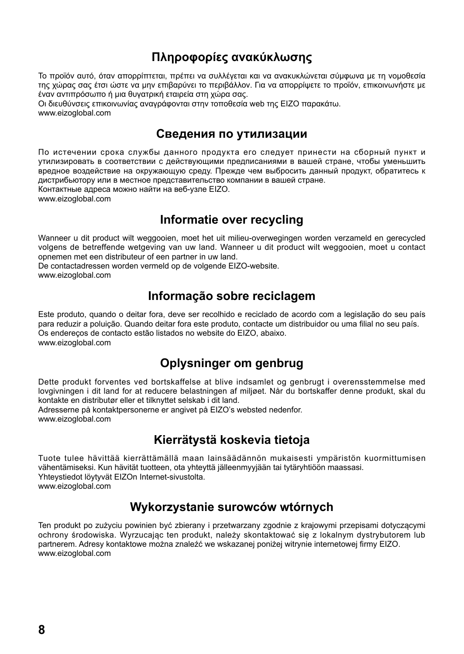### **Πληροφορίες ανακύκλωσης**

Το προϊόν αυτό, όταν απορρίπτεται, πρέπει να συλλέγεται και να ανακυκλώνεται σύμφωνα με τη νομοθεσία της χώρας σας έτσι ώστε να μην επιβαρύνει το περιβάλλον. Για να απορρίψετε το προϊόν, επικοινωνήστε με έναν αντιπρόσωπο ή μια θυγατρική εταιρεία στη χώρα σας.

Οι διευθύνσεις επικοινωνίας αναγράφονται στην τοποθεσία web της EIZO παρακάτω. www.eizoglobal.com

#### **Сведения по утилизации**

По истечении срока службы данного продукта его следует принести на сборный пункт и утилизировать в соответствии с действующими предписаниями в вашей стране, чтобы уменьшить вредное воздействие на окружающую среду. Прежде чем выбросить данный продукт, обратитесь к дистрибьютору или в местное представительство компании в вашей стране.

Контактные адреса можно найти на веб-узле EIZO.

www.eizoglobal.com

#### **Informatie over recycling**

Wanneer u dit product wilt weggooien, moet het uit milieu-overwegingen worden verzameld en gerecycled volgens de betreffende wetgeving van uw land. Wanneer u dit product wilt weggooien, moet u contact opnemen met een distributeur of een partner in uw land.

De contactadressen worden vermeld op de volgende EIZO-website.

www.eizoglobal.com

### **Informação sobre reciclagem**

Este produto, quando o deitar fora, deve ser recolhido e reciclado de acordo com a legislação do seu país para reduzir a poluição. Quando deitar fora este produto, contacte um distribuidor ou uma filial no seu país. Os endereços de contacto estão listados no website do EIZO, abaixo. www.eizoglobal.com

### **Oplysninger om genbrug**

Dette produkt forventes ved bortskaffelse at blive indsamlet og genbrugt i overensstemmelse med lovgivningen i dit land for at reducere belastningen af miljøet. Når du bortskaffer denne produkt, skal du kontakte en distributør eller et tilknyttet selskab i dit land.

Adresserne på kontaktpersonerne er angivet på EIZO's websted nedenfor. www.eizoglobal.com

### **Kierrätystä koskevia tietoja**

Tuote tulee hävittää kierrättämällä maan lainsäädännön mukaisesti ympäristön kuormittumisen vähentämiseksi. Kun hävität tuotteen, ota yhteyttä jälleenmyyjään tai tytäryhtiöön maassasi. Yhteystiedot löytyvät EIZOn Internet-sivustolta. www.eizoglobal.com

### **Wykorzystanie surowców wtórnych**

Ten produkt po zużyciu powinien być zbierany i przetwarzany zgodnie z krajowymi przepisami dotyczącymi ochrony środowiska. Wyrzucając ten produkt, należy skontaktować się z lokalnym dystrybutorem lub partnerem. Adresy kontaktowe można znaleźć we wskazanej poniżej witrynie internetowej firmy EIZO. www.eizoglobal.com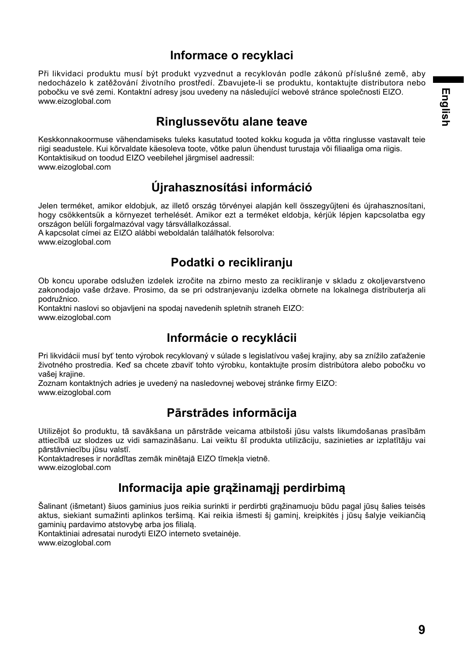### **Informace o recyklaci**

Při likvidaci produktu musí být produkt vyzvednut a recyklován podle zákonů příslušné země, aby nedocházelo k zatěžování životního prostředí. Zbavujete-li se produktu, kontaktujte distributora nebo pobočku ve své zemi. Kontaktní adresy jsou uvedeny na následující webové stránce společnosti EIZO. www.eizoglobal.com

#### **Ringlussevõtu alane teave**

Keskkonnakoormuse vähendamiseks tuleks kasutatud tooted kokku koguda ja võtta ringlusse vastavalt teie riigi seadustele. Kui kõrvaldate käesoleva toote, võtke palun ühendust turustaja või filiaaliga oma riigis. Kontaktisikud on toodud EIZO veebilehel järgmisel aadressil: www.eizoglobal.com

## **Újrahasznosítási információ**

Jelen terméket, amikor eldobjuk, az illető ország törvényei alapján kell összegyűjteni és újrahasznosítani, hogy csökkentsük a környezet terhelését. Amikor ezt a terméket eldobja, kérjük lépjen kapcsolatba egy országon belüli forgalmazóval vagy társvállalkozással.

A kapcsolat címei az EIZO alábbi weboldalán találhatók felsorolva: www.eizoglobal.com

### **Podatki o recikliranju**

Ob koncu uporabe odslužen izdelek izročite na zbirno mesto za recikliranje v skladu z okoljevarstveno zakonodajo vaše države. Prosimo, da se pri odstranjevanju izdelka obrnete na lokalnega distributerja ali podružnico.

Kontaktni naslovi so objavljeni na spodaj navedenih spletnih straneh EIZO: www.eizoglobal.com

### **Informácie o recyklácii**

Pri likvidácii musí byť tento výrobok recyklovaný v súlade s legislatívou vašej krajiny, aby sa znížilo zaťaženie životného prostredia. Keď sa chcete zbaviť tohto výrobku, kontaktujte prosím distribútora alebo pobočku vo vašej krajine.

Zoznam kontaktných adries je uvedený na nasledovnej webovej stránke firmy EIZO: www.eizoglobal.com

### **Pārstrādes informācija**

Utilizējot šo produktu, tā savākšana un pārstrāde veicama atbilstoši jūsu valsts likumdošanas prasībām attiecībā uz slodzes uz vidi samazināšanu. Lai veiktu šī produkta utilizāciju, sazinieties ar izplatītāju vai pārstāvniecību jūsu valstī.

Kontaktadreses ir norādītas zemāk minētajā EIZO tīmekļa vietnē. www.eizoglobal.com

### **Informacija apie grąžinamąjį perdirbimą**

Šalinant (išmetant) šiuos gaminius juos reikia surinkti ir perdirbti grąžinamuoju būdu pagal jūsų šalies teisės aktus, siekiant sumažinti aplinkos teršimą. Kai reikia išmesti šį gaminį, kreipkitės į jūsų šalyje veikiančią gaminių pardavimo atstovybe arba jos filialą.

Kontaktiniai adresatai nurodyti EIZO interneto svetainėje. www.eizoglobal.com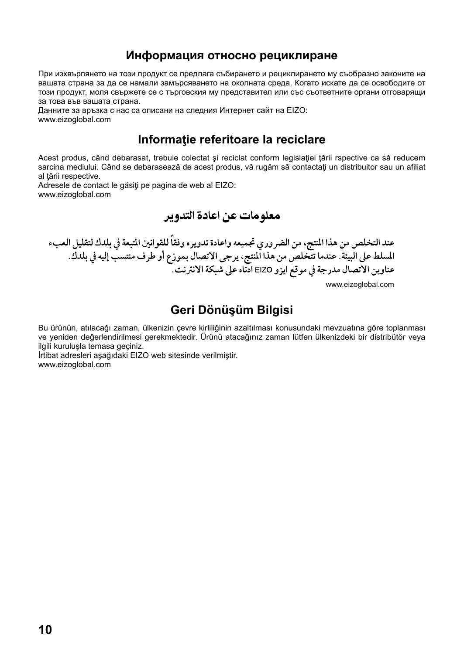#### **Информация относно рециклиране**

При изхвърлянето на този продукт се предлага събирането и рециклирането му съобразно законите на вашата страна за да се намали замърсяването на околната среда. Когато искате да се освободите от този продукт, моля свържете се с търговския му представител или със съответните органи отговарящи за това във вашата страна.

Данните за връзка с нас са описани на следния Интернет сайт на EIZO: www.eizoglobal.com

#### **Informaţie referitoare la reciclare**

Acest produs, când debarasat, trebuie colectat şi reciclat conform legislaţiei ţării rspective ca să reducem sarcina mediului. Când se debarasează de acest produs, vă rugăm să contactați un distribuitor sau un afiliat al tării respective.

Adresele de contact le găsiți pe pagina de web al EIZO: www.eizoglobal.com

معلو مات عن اعادة التدوير

عند التخلص من هذا المنتج، من الضروري تجميعه واعادة تدويره وفقاً للقوانين المتبعة في بلدك لتقليل العبء المسلط على البيئة. عندما تتخلص من هذا المنتج، يرجى الاتصال بموزع أو طرف منتسب إليه في بلدك. عناوين الاتصال مدرجة في موقع ايزو EIZO ادناه على شبكة الانترنت.

#### **Geri Dönüşüm Bilgisi**

ww.eizoglobal.com

Bu ürünün, atılacağı zaman, ülkenizin çevre kirliliğinin azaltılması konusundaki mevzuatına göre toplanması ve yeniden değerlendirilmesi gerekmektedir. Ürünü atacağınız zaman lütfen ülkenizdeki bir distribütör veya ilgili kuruluşla temasa geçiniz.

İrtibat adresleri aşağıdaki EIZO web sitesinde verilmiştir. www.eizoglobal.com